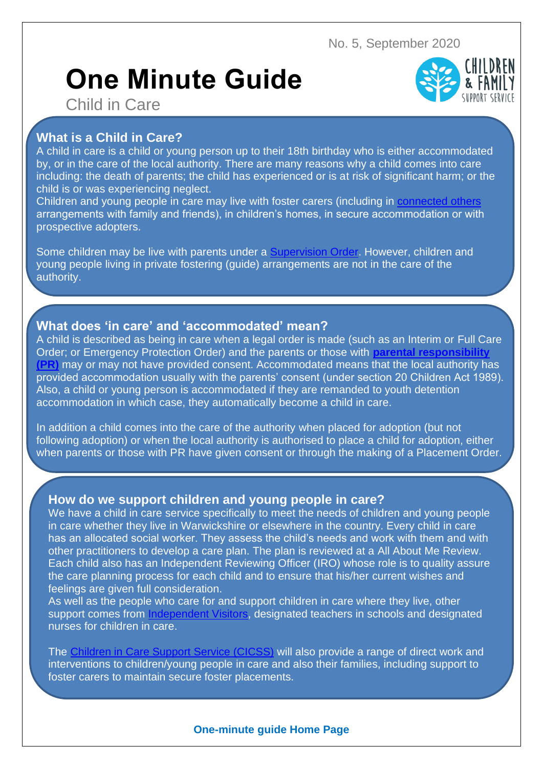# **One Minute Guide**



Child in Care

## **What is a Child in Care?**

A child in care is a child or young person up to their 18th birthday who is either accommodated by, or in the care of the local authority. There are many reasons why a child comes into care including: the death of parents; the child has experienced or is at risk of significant harm; or the child is or was experiencing neglect.

Children and young people in care may live with foster carers (including in [connected others](http://edrm/CSC/Corporate/Fostering%20and%20Adoption/Connected%20Persons%20fact%20sheet.pdf) arrangements with family and friends), in children's homes, in secure accommodation or with prospective adopters.

Some children may be live with parents under a [Supervision Order.](https://www.cafcass.gov.uk/grown-ups/professionals/public-law-cases/) However, children and young people living in private fostering (guide) arrangements are not in the care of the authority.

#### **What does 'in care' and 'accommodated' mean?**

A child is described as being in care when a legal order is made (such as an Interim or Full Care Order; or Emergency Protection Order) and the parents or those with **[parental responsibility](https://www.gov.uk/parental-rights-responsibilities/what-is-parental-responsibility)  [\(PR\)](https://www.gov.uk/parental-rights-responsibilities/what-is-parental-responsibility)** may or may not have provided consent. Accommodated means that the local authority has provided accommodation usually with the parents' consent (under section 20 Children Act 1989). Also, a child or young person is accommodated if they are remanded to youth detention accommodation in which case, they automatically become a child in care.

In addition a child comes into the care of the authority when placed for adoption (but not following adoption) or when the local authority is authorised to place a child for adoption, either when parents or those with PR have given consent or through the making of a Placement Order.

### **How do we support children and young people in care?**

We have a child in care service specifically to meet the needs of children and young people in care whether they live in Warwickshire or elsewhere in the country. Every child in care has an allocated social worker. They assess the child's needs and work with them and with other practitioners to develop a care plan. The plan is reviewed at a All About Me Review. Each child also has an Independent Reviewing Officer (IRO) whose role is to quality assure the care planning process for each child and to ensure that his/her current wishes and feelings are given full consideration.

As well as the people who care for and support children in care where they live, other support comes from [Independent Visitors,](https://api.warwickshire.gov.uk/documents/WCCC-640-1560) designated teachers in schools and designated nurses for children in care.

The [Children in Care Support Service \(CICSS\)](https://warwickshiregovuk.sharepoint.com/sites/caf/SitePages/Children-Looked-After-(CLA)---Children-in-Care-Support-Service.aspx) will also provide a range of direct work and interventions to children/young people in care and also their families, including support to foster carers to maintain secure foster placements.

#### **One-minute guide Home Page**